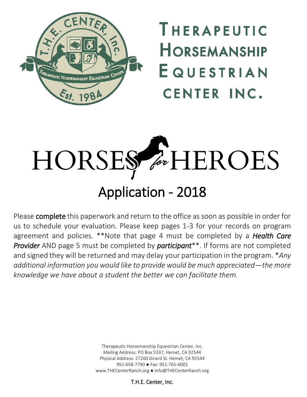

THERAPEUTIC **HORSEMANSHIP** EQUESTRIAN **CENTER INC.** 



Please complete this paperwork and return to the office as soon as possible in order for us to schedule your evaluation. Please keep pages 1-3 for your records on program agreement and policies. \*\*Note that page 4 must be completed by a *Health Care Provider* AND page 5 must be completed by *participant*\*\*. If forms are not completed and signed they will be returned and may delay your participation in the program. \**Any additional information you would like to provide would be much appreciated—the more knowledge we have about a student the better we can facilitate them.*

> Therapeutic Horsemanship Equestrian Center, Inc. Mailing Address: PO Box 5337, Hemet, CA 92544 Physical Address: 27260 Girard St. Hemet, CA 92544 951-658-7790 ● Fax: 951-765-6001 www.THECenterRanch.org ● Info@THECenterRanch.org

> > T.H.E. Center, Inc.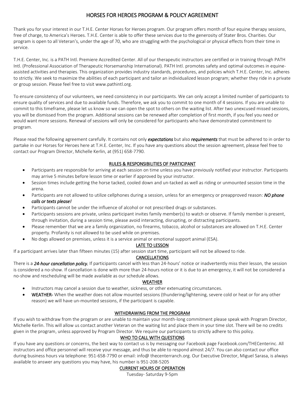# HORSES FOR HEROES PROGRAM & POLICY AGREEMENT

Thank you for your interest in our T.H.E. Center Horses for Heroes program. Our program offers month of four equine therapy sessions, free of charge, to America's Heroes. T.H.E. Center is able to offer these services due to the generosity of Stater Bros. Charities. Our program is open to all Veteran's, under the age of 70, who are struggling with the psychological or physical effects from their time in service.

T.H.E. Center, Inc. is a PATH Intl. Premiere Accredited Center. All of our therapeutic instructors are certified or in training through PATH Intl. (Professional Association of Therapeutic Horsemanship International). PATH Intl. promotes safety and optimal outcomes in equineassisted activities and therapies. This organization provides industry standards, procedures, and policies which T.H.E. Center, Inc. adheres to strictly. We seek to maximize the abilities of each participant and tailor an individualized lesson program; whether they ride in a private or group session. Please feel free to visit www.pathintl.org.

To ensure consistency of our volunteers, we need consistency in our participants. We can only accept a limited number of participants to ensure quality of services and due to available funds. Therefore, we ask you to commit to one month of 4 sessions. If you are unable to commit to this timeframe, please let us know so we can open the spot to others on the waiting list. After two unexcused missed sessions, you will be dismissed from the program. Additional sessions can be renewed after completion of first month, if you feel you need or would want more sessions. Renewal of sessions will only be considered for participants who have demonstrated commitment to program.

Please read the following agreement carefully. It contains not only *expectations* but also *requirements* that must be adhered to in order to partake in our Horses for Heroes here at T.H.E. Center, Inc. If you have any questions about the session agreement, please feel free to contact our Program Director, Michelle Kerlin, at (951) 658-7790.

## RULES & RESPONSIBILITIES OF PARTICIPANT

- Participants are responsible for arriving at each session on time unless you have previously notified your instructor. Participants may arrive 5 minutes before lesson time or earlier if approved by your instructor.
- Session times include getting the horse tacked, cooled down and un-tacked as well as riding or unmounted session time in the arena.
- Participants are not allowed to utilize cellphones during a session, unless for an emergency or preapproved reason: *NO phone calls or texts please!*
- Participants cannot be under the influence of alcohol or not prescribed drugs or substances.
- Participants sessions are private, unless participant invites family member(s) to watch or observe. If family member is present, through invitation, during a session time, please avoid interacting, disrupting, or distracting participants.
- Please remember that we are a family organization, no firearms, tobacco, alcohol or substances are allowed on T.H.E. Center property. Profanity is not allowed to be used while on premises.
- No dogs allowed on premises, unless it is a service animal or emotional support animal (ESA).

#### LATE TO LESSON

If a participant arrives later than fifteen minutes (15) after session start time, participant will not be allowed to ride.

### CANCELLATIONS

There is a *24-hour cancellation policy.* If participants cancel with less than 24-hours' notice or inadvertently miss their lesson, the session is considered a no-show. If cancellation is done with more than 24-hours notice or it is due to an emergency, it will not be considered a no-show and rescheduling will be made available as our schedule allows.

### WEATHER

- Instructors may cancel a session due to weather, sickness, or other extenuating circumstances.
- WEATHER- When the weather does not allow mounted sessions (thundering/lightening, severe cold or heat or for any other reason) we will have un-mounted sessions, if the participant is capable.

### WITHDRAWING FROM THE PROGRAM

If you wish to withdraw from the program or are unable to maintain your month-long commitment please speak with Program Director, Michelle Kerlin. This will allow us contact another Veteran on the waiting list and place them in your time slot. There will be no credits given in the program, unless approved by Program Director. We require our participants to strictly adhere to this policy.

### WHO TO CALL WITH QUESTIONS

If you have any questions or concerns, the best way to contact us is by messaging our Facebook page Facebook.com/THECenterinc. All instructors and office personnel will receive your message, and thus be able to respond almost 24/7. You can also contact our office during business hours via telephone: 951-658-7790 or email: info@ thecenterranch.org. Our Executive Director, Miguel Sarasa, is always available to answer any questions you may have, his number is 951-208-5205

# CURRENT HOURS OF OPERATION

Tuesday- Saturday 9-5pm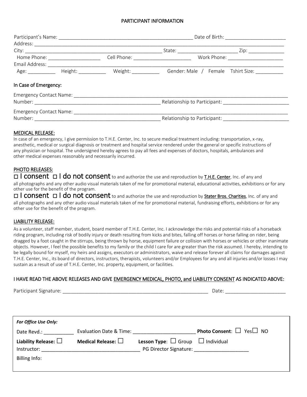#### PARTICIPANT INFORMATION

|                       |  | Cell Phone: ____________________________<br>Work Phone: ________________________ |                                                                 |  |
|-----------------------|--|----------------------------------------------------------------------------------|-----------------------------------------------------------------|--|
|                       |  |                                                                                  |                                                                 |  |
|                       |  |                                                                                  | Age: Height: Weight: Weight: Gender: Male / Female Tshirt Size: |  |
| In Case of Emergency: |  |                                                                                  |                                                                 |  |
|                       |  |                                                                                  |                                                                 |  |
|                       |  |                                                                                  |                                                                 |  |
|                       |  |                                                                                  |                                                                 |  |
|                       |  | Relationship to Participant: _______________                                     |                                                                 |  |

#### MEDICAL RELEASE:

In case of an emergency, I give permission to T.H.E. Center, Inc. to secure medical treatment including: transportation, x-ray, anesthetic, medical or surgical diagnosis or treatment and hospital service rendered under the general or specific instructions of any physician or hospital. The undersigned hereby agrees to pay all fees and expenses of doctors, hospitals, ambulances and other medical expenses reasonably and necessarily incurred.

## PHOTO RELEASES:

□ I consent □ I do not consent to and authorize the use and reproduction by T.H.E. Center, Inc. of any and all photographs and any other audio visual materials taken of me for promotional material, educational activities, exhibitions or for any other use for the benefit of the program.

□ I consent □ I do not consent to and authorize the use and reproduction by Stater Bros. Charities, Inc. of any and all photographs and any other audio visual materials taken of me for promotional material, fundraising efforts, exhibitions or for any other use for the benefit of the program.

#### LIABILITY RELEASE:

As a volunteer, staff member, student, board member of T.H.E. Center, Inc. I acknowledge the risks and potential risks of a horseback riding program, including risk of bodily injury or death resulting from kicks and bites, falling off horses or horse falling on rider, being dragged by a foot caught in the stirrups, being thrown by horse, equipment failure or collision with horses or vehicles or other inanimate objects. However, I feel the possible benefits to my family or the child I care for are greater than the risk assumed. I hereby, intending to be legally bound for myself, my heirs and assigns, executors or administrators, waive and release forever all claims for damages against T.H.E. Center, Inc., its board of directors, instructors, therapists, volunteers and/or Employees for any and all injuries and/or losses I may sustain as a result of use of T.H.E. Center, Inc. property, equipment, or facilities.

#### I HAVE READ THE ABOVE RELEASES AND GIVE EMERGENCY MEDICAL, PHOTO, and LIABILITY CONSENT AS INDICATED ABOVE:

Participant Signature: \_\_\_\_\_\_\_\_\_\_\_\_\_\_\_\_\_\_\_\_\_\_\_\_\_\_\_\_\_\_\_\_\_\_\_\_\_\_\_\_\_\_\_\_\_\_\_\_\_\_\_\_\_ Date: \_\_\_\_\_\_\_\_\_\_\_\_\_\_\_\_\_\_\_\_\_\_

| <b>For Office Use Only:</b>                                  |                            |                                                                                   |                                            |
|--------------------------------------------------------------|----------------------------|-----------------------------------------------------------------------------------|--------------------------------------------|
| Date Revd.:                                                  | Evaluation Date & Time:    |                                                                                   | <b>Photo Consent:</b> $\Box$ Yes $\Box$ NO |
| Liability Release: $\square$<br>Instructor:<br>Billing Info: | Medical Release: $\square$ | <b>Lesson Type:</b> $\Box$ Group $\Box$ Individual<br>PG Director Signature: 2008 |                                            |
|                                                              |                            |                                                                                   |                                            |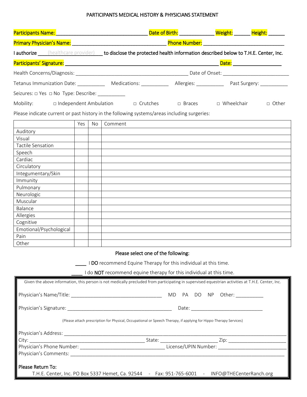# PARTICIPANTS MEDICAL HISTORY & PHYSICIANS STATEMENT

| Participants Name: Manner And Management Advanced Management Advanced Management Advanced Management Advanced |     |    |                                                                                                                                                   |                                  |                     |                            |
|---------------------------------------------------------------------------------------------------------------|-----|----|---------------------------------------------------------------------------------------------------------------------------------------------------|----------------------------------|---------------------|----------------------------|
|                                                                                                               |     |    |                                                                                                                                                   |                                  |                     |                            |
|                                                                                                               |     |    | I authorize <i>Chealthcare provider</i> ) to disclose the protected health information described below to T.H.E. Center, Inc.                     |                                  |                     |                            |
|                                                                                                               |     |    |                                                                                                                                                   |                                  |                     | Date: ____________________ |
|                                                                                                               |     |    |                                                                                                                                                   |                                  |                     |                            |
|                                                                                                               |     |    | Tetanus Immunization Date: ______________ Medications: _____________ Allergies: ____________ Past Surgery: __________                             |                                  |                     |                            |
|                                                                                                               |     |    |                                                                                                                                                   |                                  |                     |                            |
| Mobility:<br>□ Independent Ambulation                                                                         |     |    |                                                                                                                                                   | □ Crutches □ Braces □ Wheelchair |                     | □ Other                    |
|                                                                                                               |     |    | Please indicate current or past history in the following systems/areas including surgeries:                                                       |                                  |                     |                            |
|                                                                                                               | Yes | No | Comment                                                                                                                                           |                                  |                     |                            |
| Auditory                                                                                                      |     |    |                                                                                                                                                   |                                  |                     |                            |
| Visual                                                                                                        |     |    |                                                                                                                                                   |                                  |                     |                            |
| Tactile Sensation                                                                                             |     |    |                                                                                                                                                   |                                  |                     |                            |
| Speech                                                                                                        |     |    |                                                                                                                                                   |                                  |                     |                            |
| Cardiac                                                                                                       |     |    |                                                                                                                                                   |                                  |                     |                            |
| Circulatory                                                                                                   |     |    |                                                                                                                                                   |                                  |                     |                            |
| Integumentary/Skin                                                                                            |     |    |                                                                                                                                                   |                                  |                     |                            |
| Immunity                                                                                                      |     |    |                                                                                                                                                   |                                  |                     |                            |
| Pulmonary                                                                                                     |     |    |                                                                                                                                                   |                                  |                     |                            |
| Neurologic                                                                                                    |     |    |                                                                                                                                                   |                                  |                     |                            |
| Muscular                                                                                                      |     |    |                                                                                                                                                   |                                  |                     |                            |
| Balance                                                                                                       |     |    |                                                                                                                                                   |                                  |                     |                            |
| Allergies                                                                                                     |     |    |                                                                                                                                                   |                                  |                     |                            |
| Cognitive                                                                                                     |     |    |                                                                                                                                                   |                                  |                     |                            |
| Emotional/Psychological                                                                                       |     |    |                                                                                                                                                   |                                  |                     |                            |
| Pain                                                                                                          |     |    |                                                                                                                                                   |                                  |                     |                            |
| Other                                                                                                         |     |    |                                                                                                                                                   |                                  |                     |                            |
|                                                                                                               |     |    | Please select one of the following:                                                                                                               |                                  |                     |                            |
|                                                                                                               |     |    | I DO recommend Equine Therapy for this individual at this time.                                                                                   |                                  |                     |                            |
|                                                                                                               |     |    |                                                                                                                                                   |                                  |                     |                            |
|                                                                                                               |     |    | I do <b>NOT</b> recommend equine therapy for this individual at this time.                                                                        |                                  |                     |                            |
|                                                                                                               |     |    | Given the above information, this person is not medically precluded from participating in supervised equestrian activities at T.H.E. Center, Inc. |                                  |                     |                            |
| Physician's Name/Title:                                                                                       |     |    |                                                                                                                                                   | DO<br><b>MD</b><br>PA            | Other:<br><b>NP</b> |                            |

| Physician's Signature: _________<br>Date:                                                                                                                                                                                      |                      |                                                                                                |  |  |
|--------------------------------------------------------------------------------------------------------------------------------------------------------------------------------------------------------------------------------|----------------------|------------------------------------------------------------------------------------------------|--|--|
| (Please attach prescription for Physical, Occupational or Speech Therapy, if applying for Hippo-Therapy Services)                                                                                                              |                      |                                                                                                |  |  |
| Physician's Address: _____                                                                                                                                                                                                     |                      |                                                                                                |  |  |
| City: the contract of the contract of the contract of the contract of the contract of the contract of the contract of the contract of the contract of the contract of the contract of the contract of the contract of the cont | State:               | Zip:                                                                                           |  |  |
| Physician's Phone Number: __________                                                                                                                                                                                           | License/UPIN Number: |                                                                                                |  |  |
| Physician's Comments:                                                                                                                                                                                                          |                      |                                                                                                |  |  |
| Please Return To:                                                                                                                                                                                                              |                      |                                                                                                |  |  |
|                                                                                                                                                                                                                                |                      | T.H.E. Center, Inc. PO Box 5337 Hemet, Ca. 92544 - Fax: 951-765-6001 - INFO@THECenterRanch.org |  |  |